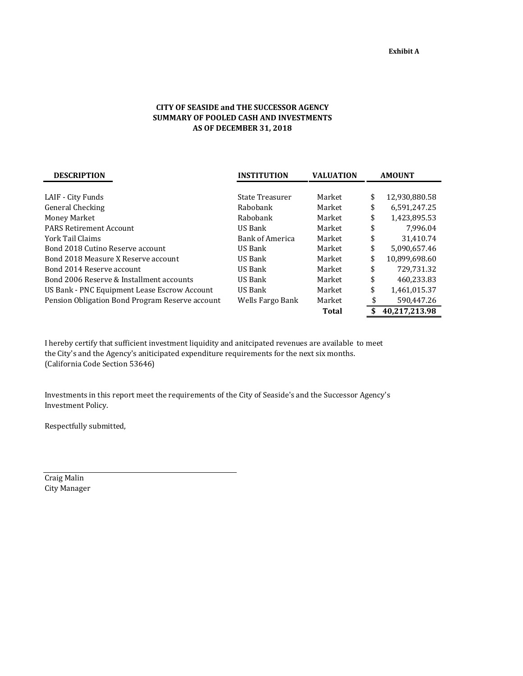## **CITY OF SEASIDE and THE SUCCESSOR AGENCY SUMMARY OF POOLED CASH AND INVESTMENTS AS OF DECEMBER 31, 2018**

| <b>DESCRIPTION</b>                              | <b>INSTITUTION</b>     | <b>VALUATION</b> | <b>AMOUNT</b>       |  |  |
|-------------------------------------------------|------------------------|------------------|---------------------|--|--|
|                                                 |                        |                  |                     |  |  |
| LAIF - City Funds                               | State Treasurer        | Market           | \$<br>12,930,880.58 |  |  |
| General Checking                                | Rabobank               | Market           | \$<br>6,591,247.25  |  |  |
| Money Market                                    | Rabobank               | Market           | \$<br>1.423.895.53  |  |  |
| <b>PARS Retirement Account</b>                  | US Bank                | Market           | \$<br>7,996.04      |  |  |
| York Tail Claims                                | <b>Bank of America</b> | Market           | \$<br>31,410.74     |  |  |
| Bond 2018 Cutino Reserve account                | US Bank                | Market           | \$<br>5.090.657.46  |  |  |
| Bond 2018 Measure X Reserve account             | US Bank                | Market           | \$<br>10,899,698.60 |  |  |
| Bond 2014 Reserve account                       | US Bank                | Market           | \$<br>729.731.32    |  |  |
| Bond 2006 Reserve & Installment accounts        | US Bank                | Market           | \$<br>460.233.83    |  |  |
| US Bank - PNC Equipment Lease Escrow Account    | US Bank                | Market           | \$<br>1,461,015.37  |  |  |
| Pension Obligation Bond Program Reserve account | Wells Fargo Bank       | Market           | \$<br>590,447.26    |  |  |
|                                                 |                        | Total            | \$<br>40,217,213.98 |  |  |

I hereby certify that sufficient investment liquidity and anitcipated revenues are available to meet the City's and the Agency's aniticipated expenditure requirements for the next six months. (California Code Section 53646)

Investments in this report meet the requirements of the City of Seaside's and the Successor Agency's Investment Policy.

Respectfully submitted,

Craig Malin City Manager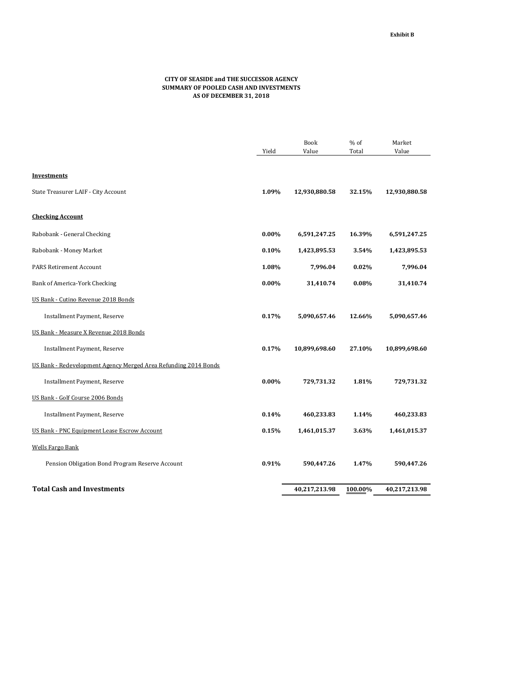## **CITY OF SEASIDE and THE SUCCESSOR AGENCY SUMMARY OF POOLED CASH AND INVESTMENTS AS OF DECEMBER 31, 2018**

|                                                                 |          | <b>Book</b>   | % of    | Market        |
|-----------------------------------------------------------------|----------|---------------|---------|---------------|
|                                                                 | Yield    | Value         | Total   | Value         |
|                                                                 |          |               |         |               |
| <b>Investments</b>                                              |          |               |         |               |
| State Treasurer LAIF - City Account                             | 1.09%    | 12,930,880.58 | 32.15%  | 12,930,880.58 |
| <b>Checking Account</b>                                         |          |               |         |               |
| Rabobank - General Checking                                     | $0.00\%$ | 6,591,247.25  | 16.39%  | 6,591,247.25  |
| Rabobank - Money Market                                         | 0.10%    | 1,423,895.53  | 3.54%   | 1,423,895.53  |
| <b>PARS Retirement Account</b>                                  | 1.08%    | 7,996.04      | 0.02%   | 7,996.04      |
| Bank of America-York Checking                                   | $0.00\%$ | 31,410.74     | 0.08%   | 31,410.74     |
| US Bank - Cutino Revenue 2018 Bonds                             |          |               |         |               |
| Installment Payment, Reserve                                    | 0.17%    | 5,090,657.46  | 12.66%  | 5,090,657.46  |
| US Bank - Measure X Revenue 2018 Bonds                          |          |               |         |               |
| Installment Payment, Reserve                                    | 0.17%    | 10,899,698.60 | 27.10%  | 10,899,698.60 |
| US Bank - Redevelopment Agency Merged Area Refunding 2014 Bonds |          |               |         |               |
| Installment Payment, Reserve                                    | $0.00\%$ | 729,731.32    | 1.81%   | 729,731.32    |
| US Bank - Golf Course 2006 Bonds                                |          |               |         |               |
| Installment Payment, Reserve                                    | 0.14%    | 460,233.83    | 1.14%   | 460,233.83    |
| US Bank - PNC Equipment Lease Escrow Account                    | 0.15%    | 1,461,015.37  | 3.63%   | 1,461,015.37  |
| <b>Wells Fargo Bank</b>                                         |          |               |         |               |
| Pension Obligation Bond Program Reserve Account                 | 0.91%    | 590,447.26    | 1.47%   | 590,447.26    |
| <b>Total Cash and Investments</b>                               |          | 40,217,213.98 | 100.00% | 40,217,213.98 |